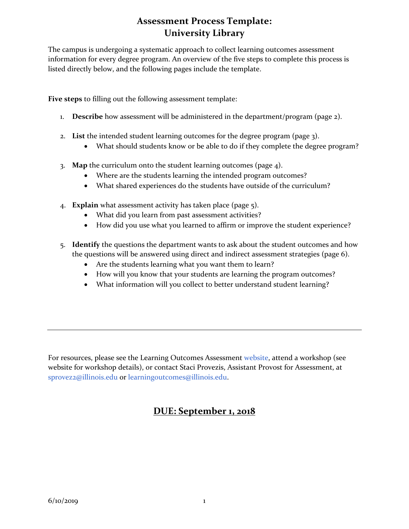The campus is undergoing a systematic approach to collect learning outcomes assessment information for every degree program. An overview of the five steps to complete this process is listed directly below, and the following pages include the template.

**Five steps** to filling out the following assessment template:

- 1. **Describe** how assessment will be administered in the department/program (page 2).
- 2. **List** the intended student learning outcomes for the degree program (page 3).
	- What should students know or be able to do if they complete the degree program?
- 3. **Map** the curriculum onto the student learning outcomes (page 4).
	- Where are the students learning the intended program outcomes?
	- What shared experiences do the students have outside of the curriculum?
- 4. **Explain** what assessment activity has taken place (page 5).
	- What did you learn from past assessment activities?
	- How did you use what you learned to affirm or improve the student experience?
- 5. **Identify** the questions the department wants to ask about the student outcomes and how the questions will be answered using direct and indirect assessment strategies (page 6).
	- Are the students learning what you want them to learn?
	- How will you know that your students are learning the program outcomes?
	- What information will you collect to better understand student learning?

For resources, please see the Learning Outcomes Assessment [website,](http://provost.illinois.edu/assessment/learning-outcomes-assessment/assessment-at-illinois/illinois-principles-for-assessment/) attend a workshop (see website for workshop details), or contact Staci Provezis, Assistant Provost for Assessment, at [sprovez2@illinois.edu](mailto:sprovez2@illinois.edu) or [learningoutcomes@illinois.edu.](mailto:learningoutcomes@illinois.edu)

### **DUE: September 1, 2018**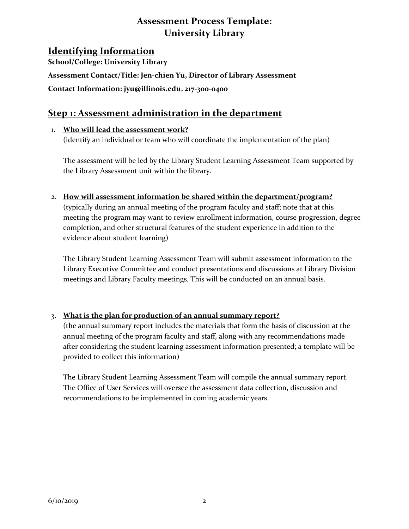### **Identifying Information**

**School/College: University Library Assessment Contact/Title: Jen-chien Yu, Director of Library Assessment Contact Information: [jyu@illinois.edu,](mailto:jyu@illinois.edu) 217-300-0400**

### **Step 1: Assessment administration in the department**

### 1. **Who will lead the assessment work?**

(identify an individual or team who will coordinate the implementation of the plan)

The assessment will be led by the Library Student Learning Assessment Team supported by the Library Assessment unit within the library.

2. **How will assessment information be shared within the department/program?**

(typically during an annual meeting of the program faculty and staff; note that at this meeting the program may want to review enrollment information, course progression, degree completion, and other structural features of the student experience in addition to the evidence about student learning)

The Library Student Learning Assessment Team will submit assessment information to the Library Executive Committee and conduct presentations and discussions at Library Division meetings and Library Faculty meetings. This will be conducted on an annual basis.

#### 3. **What is the plan for production of an annual summary report?**

(the annual summary report includes the materials that form the basis of discussion at the annual meeting of the program faculty and staff, along with any recommendations made after considering the student learning assessment information presented; a template will be provided to collect this information)

The Library Student Learning Assessment Team will compile the annual summary report. The Office of User Services will oversee the assessment data collection, discussion and recommendations to be implemented in coming academic years.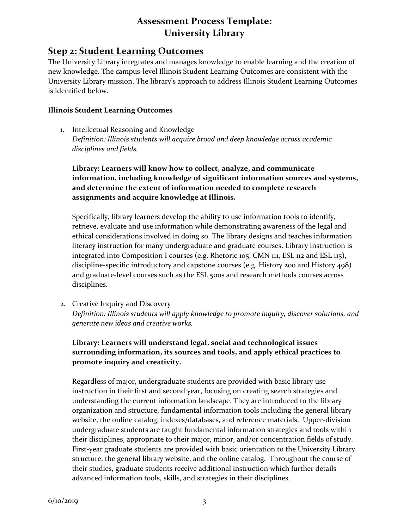### **Step 2: Student Learning Outcomes**

The University Library integrates and manages knowledge to enable learning and the creation of new knowledge. The campus-level Illinois Student Learning Outcomes are consistent with the University Library mission. The library's approach to address Illinois Student Learning Outcomes is identified below.

#### **Illinois Student Learning Outcomes**

1. Intellectual Reasoning and Knowledge *Definition: Illinois students will acquire broad and deep knowledge across academic disciplines and fields.*

#### **Library: Learners will know how to collect, analyze, and communicate information, including knowledge of significant information sources and systems, and determine the extent of information needed to complete research assignments and acquire knowledge at Illinois.**

Specifically, library learners develop the ability to use information tools to identify, retrieve, evaluate and use information while demonstrating awareness of the legal and ethical considerations involved in doing so. The library designs and teaches information literacy instruction for many undergraduate and graduate courses. Library instruction is integrated into Composition I courses (e.g. Rhetoric 105, CMN 111, ESL 112 and ESL 115), discipline-specific introductory and capstone courses (e.g. History 200 and History 498) and graduate-level courses such as the ESL 500s and research methods courses across disciplines.

2. Creative Inquiry and Discovery *Definition: Illinois students will apply knowledge to promote inquiry, discover solutions, and generate new ideas and creative works.*

### **Library: Learners will understand legal, social and technological issues surrounding information, its sources and tools, and apply ethical practices to promote inquiry and creativity.**

Regardless of major, undergraduate students are provided with basic library use instruction in their first and second year, focusing on creating search strategies and understanding the current information landscape. They are introduced to the library organization and structure, fundamental information tools including the general library website, the online catalog, indexes/databases, and reference materials. Upper-division undergraduate students are taught fundamental information strategies and tools within their disciplines, appropriate to their major, minor, and/or concentration fields of study. First-year graduate students are provided with basic orientation to the University Library structure, the general library website, and the online catalog. Throughout the course of their studies, graduate students receive additional instruction which further details advanced information tools, skills, and strategies in their disciplines.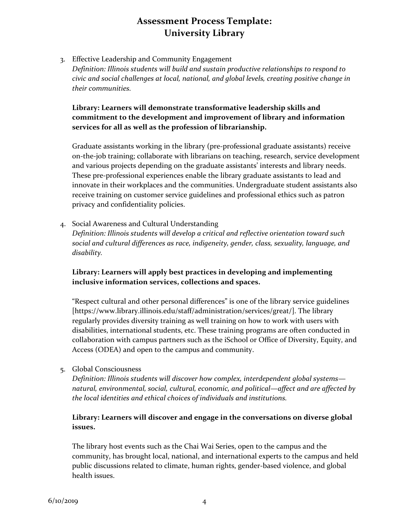3. Effective Leadership and Community Engagement *Definition: Illinois students will build and sustain productive relationships to respond to civic and social challenges at local, national, and global levels, creating positive change in their communities.*

#### **Library: Learners will demonstrate transformative leadership skills and commitment to the development and improvement of library and information services for all as well as the profession of librarianship.**

Graduate assistants working in the library (pre-professional graduate assistants) receive on-the-job training; collaborate with librarians on teaching, research, service development and various projects depending on the graduate assistants' interests and library needs. These pre-professional experiences enable the library graduate assistants to lead and innovate in their workplaces and the communities. Undergraduate student assistants also receive training on customer service guidelines and professional ethics such as patron privacy and confidentiality policies.

4. Social Awareness and Cultural Understanding

*Definition: Illinois students will develop a critical and reflective orientation toward such social and cultural differences as race, indigeneity, gender, class, sexuality, language, and disability.*

### **Library: Learners will apply best practices in developing and implementing inclusive information services, collections and spaces.**

"Respect cultural and other personal differences" is one of the library service guidelines [https://www.library.illinois.edu/staff/administration/services/great/]. The library regularly provides diversity training as well training on how to work with users with disabilities, international students, etc. These training programs are often conducted in collaboration with campus partners such as the iSchool or Office of Diversity, Equity, and Access (ODEA) and open to the campus and community.

#### 5. Global Consciousness

*Definition: Illinois students will discover how complex, interdependent global systems natural, environmental, social, cultural, economic, and political—affect and are affected by the local identities and ethical choices of individuals and institutions.*

#### **Library: Learners will discover and engage in the conversations on diverse global issues.**

The library host events such as the Chai Wai Series, open to the campus and the community, has brought local, national, and international experts to the campus and held public discussions related to climate, human rights, gender-based violence, and global health issues.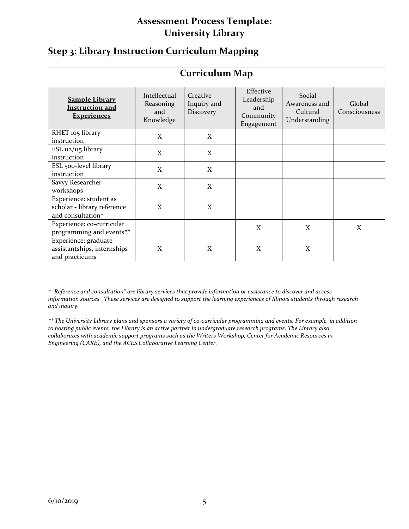| <b>Step 3: Library Instruction Curriculum Mapping</b> |  |  |
|-------------------------------------------------------|--|--|
|                                                       |  |  |

| <b>Curriculum Map</b>                                                      |                                               |                                      |                                                           |                                                      |                         |
|----------------------------------------------------------------------------|-----------------------------------------------|--------------------------------------|-----------------------------------------------------------|------------------------------------------------------|-------------------------|
| <b>Sample Library</b><br><b>Instruction and</b><br><b>Experiences</b>      | Intellectual<br>Reasoning<br>and<br>Knowledge | Creative<br>Inquiry and<br>Discovery | Effective<br>Leadership<br>and<br>Community<br>Engagement | Social<br>Awareness and<br>Cultural<br>Understanding | Global<br>Consciousness |
| RHET 105 library<br>instruction                                            | X                                             | X                                    |                                                           |                                                      |                         |
| ESL $112/115$ library<br>instruction                                       | X                                             | X                                    |                                                           |                                                      |                         |
| ESL 500-level library<br>instruction                                       | X                                             | X                                    |                                                           |                                                      |                         |
| Savvy Researcher<br>workshops                                              | X                                             | X                                    |                                                           |                                                      |                         |
| Experience: student as<br>scholar - library reference<br>and consultation* | X                                             | X                                    |                                                           |                                                      |                         |
| Experience: co-curricular<br>programming and events**                      |                                               |                                      | X                                                         | X                                                    | X                       |
| Experience: graduate<br>assistantships, internships<br>and practicums      | X                                             | X                                    | X                                                         | X                                                    |                         |

*\* "Reference and consultation" are library services that provide information or assistance to discover and access information sources. These services are designed to support the learning experiences of Illinois students through research and inquiry.* 

*\*\* The University Library plans and sponsors a variety of co-curricular programming and events. For example, in addition to hosting public events, the Library is an active partner in undergraduate research programs. The Library also collaborates with academic support programs such as the Writers Workshop, Center for Academic Resources in Engineering (CARE), and the ACES Collaborative Learning Center.*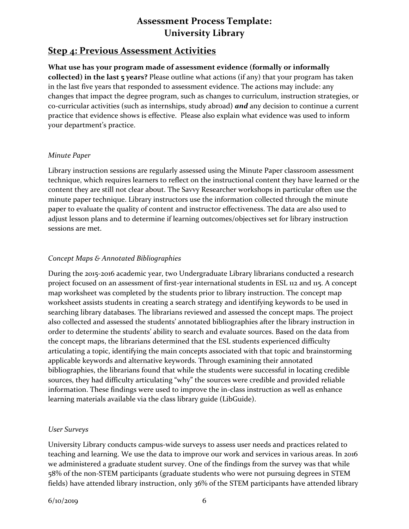### **Step 4: Previous Assessment Activities**

### **What use has your program made of assessment evidence (formally or informally collected) in the last 5 years?** Please outline what actions (if any) that your program has taken in the last five years that responded to assessment evidence. The actions may include: any changes that impact the degree program, such as changes to curriculum, instruction strategies, or co-curricular activities (such as internships, study abroad) *and* any decision to continue a current practice that evidence shows is effective. Please also explain what evidence was used to inform your department's practice.

#### *Minute Paper*

Library instruction sessions are regularly assessed using the Minute Paper classroom assessment technique, which requires learners to reflect on the instructional content they have learned or the content they are still not clear about. The Savvy Researcher workshops in particular often use the minute paper technique. Library instructors use the information collected through the minute paper to evaluate the quality of content and instructor effectiveness. The data are also used to adjust lesson plans and to determine if learning outcomes/objectives set for library instruction sessions are met.

#### *Concept Maps & Annotated Bibliographies*

During the 2015-2016 academic year, two Undergraduate Library librarians conducted a research project focused on an assessment of first-year international students in ESL 112 and 115. A concept map worksheet was completed by the students prior to library instruction. The concept map worksheet assists students in creating a search strategy and identifying keywords to be used in searching library databases. The librarians reviewed and assessed the concept maps. The project also collected and assessed the students' annotated bibliographies after the library instruction in order to determine the students' ability to search and evaluate sources. Based on the data from the concept maps, the librarians determined that the ESL students experienced difficulty articulating a topic, identifying the main concepts associated with that topic and brainstorming applicable keywords and alternative keywords. Through examining their annotated bibliographies, the librarians found that while the students were successful in locating credible sources, they had difficulty articulating "why" the sources were credible and provided reliable information. These findings were used to improve the in-class instruction as well as enhance learning materials available via the class library guide (LibGuide).

#### *User Surveys*

University Library conducts campus-wide surveys to assess user needs and practices related to teaching and learning. We use the data to improve our work and services in various areas. In 2016 we administered a graduate student survey. One of the findings from the survey was that while 58% of the non-STEM participants (graduate students who were not pursuing degrees in STEM fields) have attended library instruction, only 36% of the STEM participants have attended library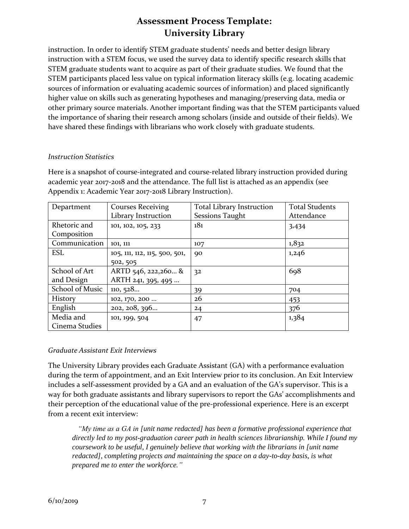instruction. In order to identify STEM graduate students' needs and better design library instruction with a STEM focus, we used the survey data to identify specific research skills that STEM graduate students want to acquire as part of their graduate studies. We found that the STEM participants placed less value on typical information literacy skills (e.g. locating academic sources of information or evaluating academic sources of information) and placed significantly higher value on skills such as generating hypotheses and managing/preserving data, media or other primary source materials. Another important finding was that the STEM participants valued the importance of sharing their research among scholars (inside and outside of their fields). We have shared these findings with librarians who work closely with graduate students.

#### *Instruction Statistics*

Here is a snapshot of course-integrated and course-related library instruction provided during academic year 2017-2018 and the attendance. The full list is attached as an appendix (see Appendix 1: Academic Year 2017-2018 Library Instruction).

| Department      | <b>Courses Receiving</b>      | <b>Total Library Instruction</b> | <b>Total Students</b> |
|-----------------|-------------------------------|----------------------------------|-----------------------|
|                 | Library Instruction           | <b>Sessions Taught</b>           | Attendance            |
| Rhetoric and    | 101, 102, 105, 233            | 181                              | 3,434                 |
| Composition     |                               |                                  |                       |
| Communication   | 101, 111                      | 107                              | 1,832                 |
| <b>ESL</b>      | 105, 111, 112, 115, 500, 501, | 90                               | 1,246                 |
|                 | 502, 505                      |                                  |                       |
| School of Art   | ARTD 546, 222, 260 &          | 32                               | 698                   |
| and Design      | ARTH 241, 395, 495            |                                  |                       |
| School of Music | 110, 528                      | 39                               | 704                   |
| <b>History</b>  | 102, 170, 200                 | 26                               | 453                   |
| English         | 202, 208, 396                 | 24                               | 376                   |
| Media and       | 101, 199, 504                 | 47                               | 1,384                 |
| Cinema Studies  |                               |                                  |                       |

#### *Graduate Assistant Exit Interviews*

The University Library provides each Graduate Assistant (GA) with a performance evaluation during the term of appointment, and an Exit Interview prior to its conclusion. An Exit Interview includes a self-assessment provided by a GA and an evaluation of the GA's supervisor. This is a way for both graduate assistants and library supervisors to report the GAs' accomplishments and their perception of the educational value of the pre-professional experience. Here is an excerpt from a recent exit interview:

 *"My time as a GA in [unit name redacted] has been a formative professional experience that directly led to my post-graduation career path in health sciences librarianship. While I found my coursework to be useful, I genuinely believe that working with the librarians in [unit name redacted], completing projects and maintaining the space on a day-to-day basis, is what prepared me to enter the workforce."*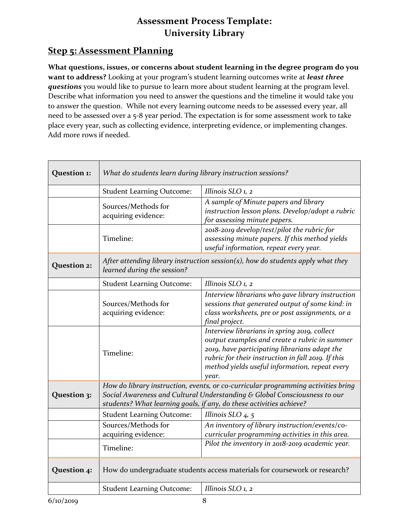# **Step 5: Assessment Planning**

**What questions, issues, or concerns about student learning in the degree program do you want to address?** Looking at your program's student learning outcomes write at *least three questions* you would like to pursue to learn more about student learning at the program level. Describe what information you need to answer the questions and the timeline it would take you to answer the question. While not every learning outcome needs to be assessed every year, all need to be assessed over a 5-8 year period. The expectation is for some assessment work to take place every year, such as collecting evidence, interpreting evidence, or implementing changes. Add more rows if needed.

| Question 1: | What do students learn during library instruction sessions?                                                                                                                                                                           |                                                                                                                                                                                                                                                                 |
|-------------|---------------------------------------------------------------------------------------------------------------------------------------------------------------------------------------------------------------------------------------|-----------------------------------------------------------------------------------------------------------------------------------------------------------------------------------------------------------------------------------------------------------------|
|             | <b>Student Learning Outcome:</b>                                                                                                                                                                                                      | Illinois SLO 1, 2                                                                                                                                                                                                                                               |
|             | Sources/Methods for<br>acquiring evidence:                                                                                                                                                                                            | A sample of Minute papers and library<br>instruction lesson plans. Develop/adopt a rubric<br>for assessing minute papers.                                                                                                                                       |
|             | Timeline:                                                                                                                                                                                                                             | 2018-2019 develop/test/pilot the rubric for<br>assessing minute papers. If this method yields<br>useful information, repeat every year.                                                                                                                         |
| Question 2: | After attending library instruction session(s), how do students apply what they<br>learned during the session?                                                                                                                        |                                                                                                                                                                                                                                                                 |
|             | <b>Student Learning Outcome:</b>                                                                                                                                                                                                      | Illinois SLO 1, 2                                                                                                                                                                                                                                               |
|             | Sources/Methods for<br>acquiring evidence:                                                                                                                                                                                            | Interview librarians who gave library instruction<br>sessions that generated output of some kind: in<br>class worksheets, pre or post assignments, or a<br>final project.                                                                                       |
|             | Timeline:                                                                                                                                                                                                                             | Interview librarians in spring 2019, collect<br>output examples and create a rubric in summer<br>2019, have participating librarians adapt the<br>rubric for their instruction in fall 2019. If this<br>method yields useful information, repeat every<br>year. |
| Question 3: | How do library instruction, events, or co-curricular programming activities bring<br>Social Awareness and Cultural Understanding & Global Consciousness to our<br>students? What learning goals, if any, do these activities achieve? |                                                                                                                                                                                                                                                                 |
|             | <b>Student Learning Outcome:</b>                                                                                                                                                                                                      | Illinois SLO 4, 5                                                                                                                                                                                                                                               |
|             | Sources/Methods for<br>acquiring evidence:                                                                                                                                                                                            | An inventory of library instruction/events/co-<br>curricular programming activities in this area.                                                                                                                                                               |
|             | Timeline:                                                                                                                                                                                                                             | Pilot the inventory in 2018-2019 academic year.                                                                                                                                                                                                                 |
| Question 4: | How do undergraduate students access materials for coursework or research?                                                                                                                                                            |                                                                                                                                                                                                                                                                 |
|             | <b>Student Learning Outcome:</b>                                                                                                                                                                                                      | Illinois SLO 1, 2                                                                                                                                                                                                                                               |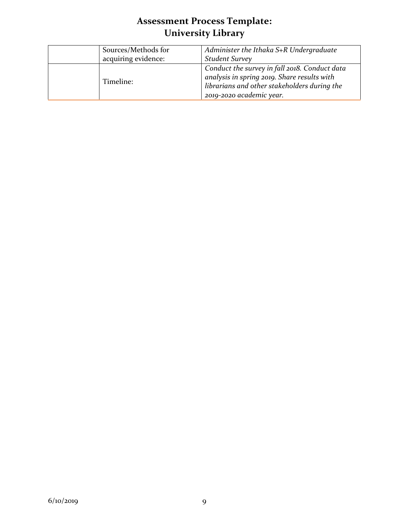| Sources/Methods for<br>acquiring evidence: | Administer the Ithaka S+R Undergraduate<br><b>Student Survey</b>                                                                                                         |
|--------------------------------------------|--------------------------------------------------------------------------------------------------------------------------------------------------------------------------|
| Timeline:                                  | Conduct the survey in fall 2018. Conduct data<br>analysis in spring 2019. Share results with<br>librarians and other stakeholders during the<br>2019-2020 academic year. |